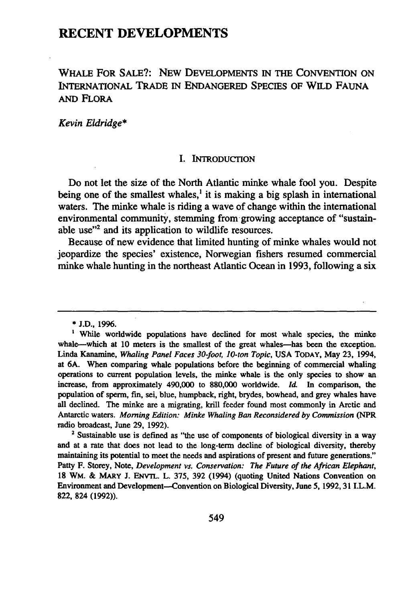# **RECENT DEVELOPMENTS**

# WHALE FOR **SALE?:** NEW **DEVELOPMENTS** IN THE CONVENTION **ON** INTERNATIONAL TRADE IN ENDANGERED **SPECIES** OF WILD **FAUNA AND** FLORA

*Kevin Eldridge\**

#### **I.** INTRODUCTION

Do not let the size of the North Atlantic minke whale fool you. Despite being one of the smallest whales,<sup>1</sup> it is making a big splash in international waters. The minke whale is riding a wave of change within the international environmental community, stemming from-growing acceptance of "sustainable use"2 and its application to wildlife resources.

Because of new evidence that limited hunting of minke whales would not jeopardize the species' existence, Norwegian fishers resumed commercial minke whale hunting in the northeast Atlantic Ocean in 1993, following a six

**<sup>\*</sup> J.D.,** 1996.

<sup>&</sup>lt;sup>1</sup> While worldwide populations have declined for most whale species, the minke whale--which at 10 meters is the smallest of the great whales-has been the exception. Linda Kanamine, *Whaling Panel Faces 30-foot, 10-ton Topic,* **USA** TODAY, May **23,** 1994, at **6A.** When comparing whale populations before the beginning of commercial whaling operations to current population levels, the minke whale is the only species to show an increase, from approximately 490,000 to 880,000 worldwide. *ld* In comparison, the population of sperm, fin, sei, blue, humpback, right, brydes, bowhead, and grey whales have all declined. The minke are a migrating, krill feeder found most commonly in Arctic and Antarctic waters. *Morning Edition: Minke Whaling Ban Reconsidered by Commission (NPR* radio broadcast, June 29, 1992).

<sup>&</sup>lt;sup>2</sup> Sustainable use is defined as "the use of components of biological diversity in a way and at a rate that does not lead to the long-term decline of biological diversity, thereby maintaining its potential to meet the needs and aspirations of present and future generations." Patty F. Storey, Note, *Development vs. Conservation: The Future of the African Elephant,* **18** WM. & MARY **J.** ENVTL. L. **375, 392** (1994) (quoting United Nations Convention on Environment and Development--Convention on Biological Diversity, June **5,** 1992, **31** I.L.M. **822,** 824 **(1992)).**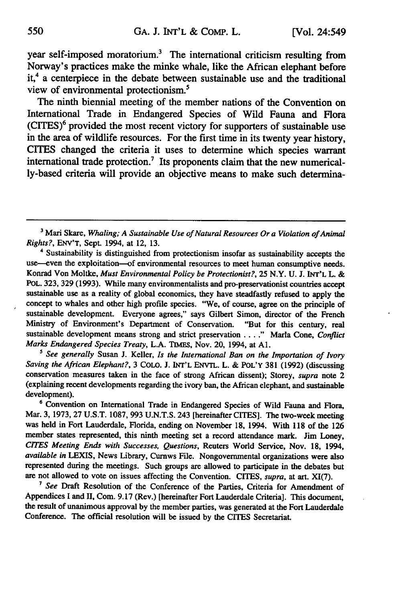year self-imposed moratorium.<sup>3</sup> The international criticism resulting from Norway's practices make the minke whale, like the African elephant before it,<sup>4</sup> a centerpiece in the debate between sustainable use and the traditional view of environmental protectionism.<sup>5</sup>

The ninth biennial meeting of the member nations of the Convention on International Trade in Endangered Species of Wild Fauna and Flora (CITES)6 provided the most recent victory for supporters of sustainable use in the area of wildlife resources. For the first time in its twenty year history, CITES changed the criteria it uses to determine which species warrant international trade protection.7 Its proponents claim that the new numerically-based criteria will provide an objective means to make such determina-

*<sup>5</sup>See generally* Susan J. Keller, *Is the International Ban on the Importation of Ivory Saving the African Elephant?,* 3 **COLO. J.** INT'L **ENvTL.** L. & POL'Y 381 (1992) (discussing conservation measures taken in the face of strong African dissent); Storey, *supra* note 2 (explaining recent developments regarding the ivory ban, the African elephant, and sustainable development).

**6** Convention on International Trade in Endangered Species of Wild Fauna and Flora, Mar. 3, 1973, 27 U.S.T. 1087, 993 U.N.T.S. 243 [hereinafter CITES]. The two-week meeting was held in Fort Lauderdale, Florida, ending on November 18, 1994. With **118** of the 126 member states represented, this ninth meeting set a record attendance mark. Jim Loney, *CITES Meeting Ends with Successes, Questions,* Reuters World Service, Nov. **18,** 1994, *available in* LEXIS, News Library, Curnws File. Nongovernmental organizations were also represented during the meetings. Such groups are allowed to participate in the debates but are not allowed to vote on issues affecting the Convention. CITES, *supra,* at art. XI(7).

*7 See* Draft Resolution of the Conference of the Parties, Criteria for Amendment of Appendices I and II, Com. 9.17 (Rev.) [hereinafter Fort Lauderdale Criteria]. This document, the result of unanimous approval by the member parties, was generated at the Fort Lauderdale Conference. The official resolution will be issued by the CITES Secretariat.

**<sup>3</sup>** Mari Skare, *Whaling; A Sustainable Use of Natural Resources Or a Violation of Animal Rights?,* ENV'T, Sept. 1994, at 12, 13.

<sup>4</sup> Sustainability is distinguished from protectionism insofar as sustainability accepts the use--even the exploitation-of environmental resources to meet human consumptive needs. Konrad Von Moltke, *Must Environmental Policy be Protectionist?,* 25 N.Y. U. J. **INT'L** L. & POL. 323, 329 (1993). While many environmentalists and pro-preservationist countries accept sustainable use as a reality of global economics, they have steadfastly refused to apply the concept to whales and other high profile species. "We, of course, agree on the principle of sustainable development. Everyone agrees," says Gilbert Simon, director of the French Ministry of Environment's Department of Conservation. "But for this century, real sustainable development means strong and strict preservation **.... "** Marla Cone, *Conflict Marks Endangered Species Treaty,* L.A. **TIMES,** Nov. 20, 1994, at **Al.**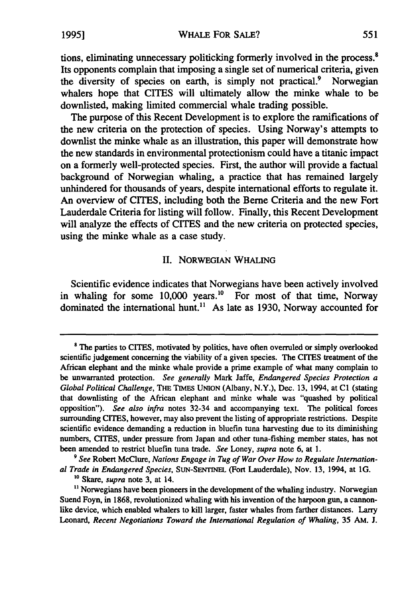tions, eliminating unnecessary politicking formerly involved in the process.<sup>8</sup> Its opponents complain that imposing a single set of numerical criteria, given the diversity of species on earth, is simply not practical.<sup>9</sup> Norwegian whalers hope that CITES will ultimately allow the minke whale to be downlisted, making limited commercial whale trading possible.

The purpose of this Recent Development is to explore the ramifications of the new criteria on the protection of species. Using Norway's attempts to downlist the minke whale as an illustration, this paper will demonstrate how the new standards in environmental protectionism could have a titanic impact on a formerly well-protected species. First, the author will provide a factual background of Norwegian whaling, a practice that has remained largely unhindered for thousands of years, despite international efforts to regulate it. An overview of CITES, including both the Berne Criteria and the new Fort Lauderdale Criteria for listing will follow. Finally, this Recent Development will analyze the effects of CITES and the new criteria on protected species, using the minke whale as a case study.

## II. NORWEGIAN WHALING

Scientific evidence indicates that Norwegians have been actively involved in whaling for some 10,000 years.<sup>10</sup> For most of that time, Norway dominated the international hunt.<sup>11</sup> As late as 1930, Norway accounted for

*9 See* Robert McClure, *Nations Engage in Tug of War Over How to Regulate International Trade in Endangered Species,* SUN-SENTINEL (Fort Lauderdale), Nov. 13, 1994, at 1G.

**<sup>8</sup>** The parties to CITES, motivated **by** politics, have often overruled or simply overlooked scientific judgement concerning the viability of a given species. The CITES treatment of the African elephant and the minke whale provide a prime example of what many complain to be unwarranted protection. *See generally* Mark Jaffe, *Endangered Species Protection a Global Political Challenge,* THE **TmEs** UNION (Albany, N.Y.), Dec. **13,** 1994, at **C1** (stating that downlisting of the African elephant and minke whale was "quashed **by** political opposition"). *See also infra* notes 32-34 and accompanying text. The political forces surrounding CITES, however, may also prevent the listing of appropriate restrictions. Despite scientific evidence demanding a reduction in bluefin tuna harvesting due to its diminishing numbers, CITES, under pressure from Japan and other tuna-fishing member states, has not been amended to restrict bluefin tuna trade. *See* Loney, *supra* note **6,** at 1.

**<sup>10</sup>**Skare, *supra* note 3, at 14.

 $<sup>11</sup>$  Norwegians have been pioneers in the development of the whaling industry. Norwegian</sup> Suend Foyn, in 1868, revolutionized whaling with his invention of the harpoon gun, a cannonlike device, which enabled whalers to kill larger, faster whales from farther distances. Larry Leonard, *Recent Negotiations Toward the International Regulation of Whaling,* 35 AM. **J.**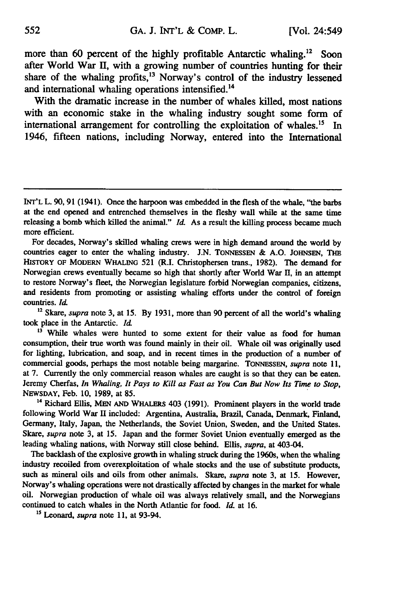more than 60 percent of the highly profitable Antarctic whaling.<sup>12</sup> Soon after World War 1H, with a growing number of countries hunting for their share of the whaling profits,  $13$  Norway's control of the industry lessened and international whaling operations intensified.<sup>14</sup>

With the dramatic increase in the number of whales killed, most nations with an economic stake in the whaling industry sought some form of international arrangement for controlling the exploitation of whales.<sup>15</sup> In 1946, fifteen nations, including Norway, entered into the International

**<sup>12</sup>**Skare, *supra* note **3,** at **15. By 1931,** more **than 90** percent of all the world's whaling took place in the Antarctic. *d*

<sup>13</sup> While whales were hunted to some extent for their value as food for human consumption, their true worth was found mainly in their oil. Whale oil was originally used for lighting, lubrication, and soap, and in recent times in the production of a number of commercial goods, perhaps the most notable being margarine. **TONNESSEN,** *supra* note **11,** at **7.** Currently the only commercial reason whales are caught is so that they can be eaten. Jeremy Cherfas, *In Whaling, It Pays to Kill as Fast as You Can But Now Its Time to Stop,* **NEWSDAY,** Feb. **10, 1989,** at **85.**

**<sup>14</sup>**Richard Ellis, **MEN AND WHALERS** 403 **(1991).** Prominent players in the world trade following World War II included: Argentina, Australia, Brazil, Canada, Denmark, Finland, Germany, Italy, Japan, the Netherlands, the Soviet Union, Sweden, and the United States. *Skare, supra* note 3, at 15. Japan and the former Soviet Union eventually emerged as the leading whaling nations, with Norway still close behind. Ellis, *supra,* at 403-04.

The backlash of the explosive growth in whaling struck during the 1960s, when the whaling industry recoiled from overexploitation of whale stocks and the use of substitute products, such as mineral oils and oils from other animals. Skare, *supra* note **3,** at **15.** However, Norway's whaling operations were not drastically affected **by** changes in the market for whale oil. Norwegian production of whale oil was always relatively small, and the Norwegians continued to catch whales in the North Atlantic for food. *Id.* at **16.**

*5* Leonard, *supra* note **11,** at 93-94.

**INT'L** L. 90, 91 (1941). Once the harpoon was embedded in the flesh of the whale, "the barbs at the end opened and entrenched themselves in the fleshy wall while at the same time releasing a bomb which killed the animal." *Id.* As a result the killing process became much more efficient.

For decades, Norway's skilled whaling crews were in high demand around the world **by** countries eager to enter the whaling industry. J.N. ToNNEssEN & A.O. JOHNSEN, **THE** HISTORY **OF MODERN WHALING** 521 (R.I. Christophersen trans., 1982). The demand for Norwegian crews eventually became so high that shortly after World War II, in an attempt to restore Norway's fleet, the Norwegian legislature forbid Norwegian companies, citizens, and residents from promoting or assisting whaling efforts under the control of foreign countries. *hd*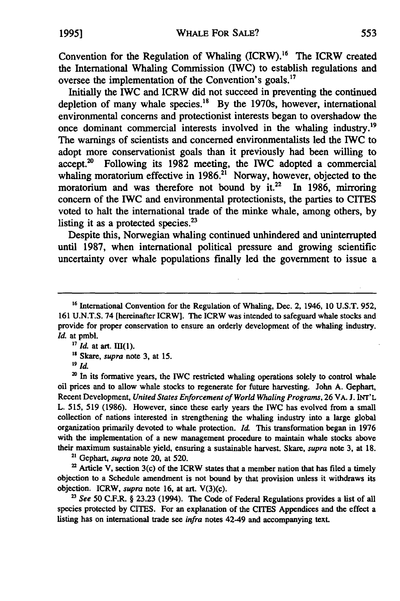Convention for the Regulation of Whaling  $(ICRW)$ .<sup>16</sup> The ICRW created the International Whaling Commission (IWC) to establish regulations and oversee the implementation of the Convention's goals.<sup>17</sup>

Initially the IWC and ICRW did not succeed in preventing the continued depletion of many whale species.<sup>18</sup> By the 1970s, however, international environmental concerns and protectionist interests began to overshadow the once dominant commercial interests involved in the whaling industry.<sup>19</sup> The warnings of scientists and concerned environmentalists led the IWC to adopt more conservationist goals than it previously had been willing to accept.<sup>20</sup> Following its 1982 meeting, the IWC adopted a commercial whaling moratorium effective in  $1986$ .<sup>21</sup> Norway, however, objected to the moratorium and was therefore not bound by  $it^{22}$  In 1986, mirroring concern of the IWC and environmental protectionists, the parties to CITES voted to halt the international trade of the minke whale, among others, by listing it as a protected species. $2<sup>3</sup>$ 

Despite this, Norwegian whaling continued unhindered and uninterrupted until 1987, when international political pressure and growing scientific uncertainty over whale populations finally led the government to issue a

<sup>20</sup> In its formative years, the IWC restricted whaling operations solely to control whale oil prices and to allow whale stocks to regenerate for future harvesting. John **A.** Gephart, Recent Development, *United States Enforcement of World Whaling Programs,* **26** VA. **J. INT'L** L. **515,** 519 **(1986).** However, since these early years the IWC has evolved from a small collection of nations interested in strengthening the whaling industry into a large global organization primarily devoted to whale protection. *Id.* This transformation began in 1976 with the implementation of a new management procedure to maintain whale stocks above their maximum sustainable yield, ensuring a sustainable harvest. Skare, *supra* note **3,** at **18.**

**<sup>21</sup>**Gephart, *supra* note 20, at **520.**

**<sup>22</sup>**Article **V,** section 3(c) of the ICRW states that a member nation that has filed a timely objection to a Schedule amendment is not bound **by** that provision unless it withdraws its objection. ICRW, *supra* note **16,** at art. V(3)(c).

*<sup>23</sup>See* 50 C.F.R. § 23.23 (1994). The Code of Federal Regulations provides a list of all species protected by CITES. For an explanation of the CITES Appendices and the effect a listing has on international trade see *infra* notes 42-49 and accompanying text.

**<sup>16</sup>** International Convention for the Regulation of Whaling, Dec. 2, 1946, 10 U.S.T. 952, 161 U.N.T.S. 74 [hereinafter ICRW]. The ICRW was intended to safeguard whale stocks and provide for proper conservation to ensure an orderly development of the whaling industry. Id. at pmbl.

<sup>&</sup>lt;sup>17</sup> *Id.* at art. III(1).

**<sup>&#</sup>x27;8** Skare, *supra* note 3, at **15.**

**<sup>19</sup>** *I./*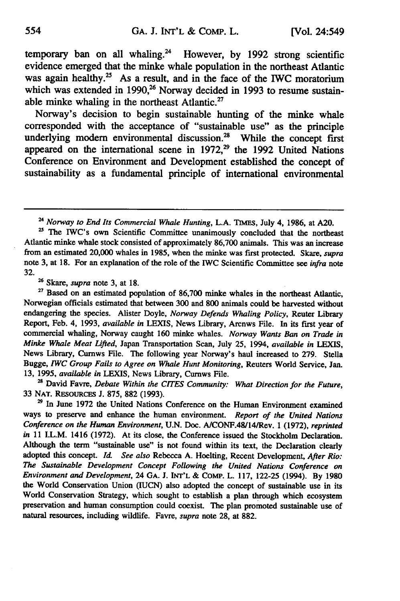temporary ban on all whaling.<sup>24</sup> However, by 1992 strong scientific evidence emerged that the minke whale population in the northeast Atlantic was again healthy.<sup>25</sup> As a result, and in the face of the IWC moratorium which was extended in 1990,<sup>26</sup> Norway decided in 1993 to resume sustainable minke whaling in the northeast Atlantic. $27$ 

Norway's decision to begin sustainable hunting of the minke whale corresponded with the acceptance of "sustainable use" as the principle underlying modern environmental discussion.<sup>28</sup> While the concept first appeared on the international scene in 1972,<sup>29</sup> the 1992 United Nations Conference on Environment and Development established the concept of sustainability as a fundamental principle of international environmental

Skate, *supra* note **3,** at **18.**

<sup>27</sup> Based on an estimated population of 86,700 minke whales in the northeast Atlantic, Norwegian officials estimated that between **300** and **800** animals could be harvested without endangering the species. Alister Doyle, *Norway Defends Whaling Policy,* Reuter Library Report, Feb. 4, **1993,** *available in* **LEXIS,** News Library, Arcnws File. In its first year of commercial whaling, Norway caught **160** minke whales. *Norway Wants Ban on Trade in Minke Whale Meat Lifted,* Japan Transportation Scan, July **25,** 1994, *available in LEXIS,* News Library, Curnws File. The following year Norway's haul increased to **279.** Stella Bugge, *IWC Group Fails to Agree on Whale Hunt Monitoring,* Reuters World Service, Jan. **13, 1995,** *available in* **LEXIS,** News Library, Cumws File.

28 David Favre, *Debate Within the CITES Community: What Direction for the Future,* **33 NAT. RESOURCES J. 875, 882 (1993).**

**<sup>29</sup>**In June **1972** the United Nations Conference on the Human Environment examined ways to preserve and enhance the human environment. *Report of the United Nations Conference on the Human Environment,* **U.N.** Doc. AICONF.48/14/Rev. **1 (1972),** *reprinted in* **11** I.L.M. 1416 **(1972).** At its close, the Conference issued the Stockholm Declaration. Although the term "sustainable use" is not found within its text, the Declaration clearly adopted this concept. *IL See also* Rebecca **A.** Hoelting, Recent Development, *After Rio: The Sustainable Development Concept Following the United Nations Conference on Environment and Development,* 24 **GA. J. INT'L &** CoMP. L. **117, 122-25** (1994). **By 1980** the World Conservation Union (IUCN) also adopted the concept of sustainable use in its World Conservation Strategy, which sought to establish a plan through which ecosystem preservation and human consumption could coexist. The plan promoted sustainable use of natural resources, including wildlife. Favre, *supra* note **28,** at **882.**

*<sup>24</sup>Norway to End Its Commercial Whale Hunting,* **L.A. TIMEs,** July 4, **1986,** at **A20.**

<sup>&</sup>lt;sup>25</sup> The IWC's own Scientific Committee unanimously concluded that the northeast Atlantic minke whale stock consisted of approximately **86,700** animals. This was an increase from an estimated 20,000 whales in **1985,** when the minke was first protected. Skare, *supra* note **3,** at **18.** For an explanation of the role of the IWC Scientific Committee see *infra* note **32.**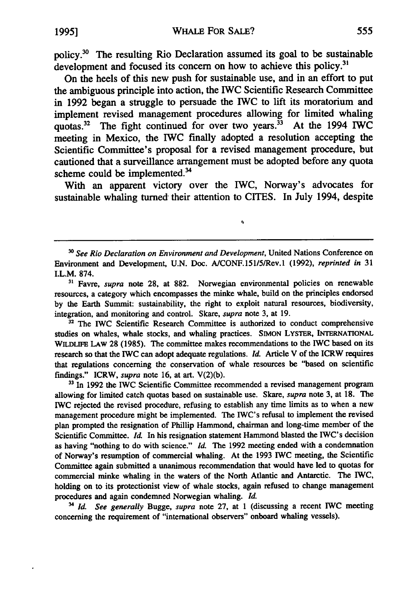policy.<sup>30</sup> The resulting Rio Declaration assumed its goal to be sustainable development and focused its concern on how to achieve this policy.<sup>3</sup>

On the heels of this new push for sustainable use, and in an effort to put the ambiguous principle into action, the IWC Scientific Research Committee in 1992 began a struggle to persuade the IWC to lift its moratorium and implement revised management procedures allowing for limited whaling quotas.<sup>32</sup> The fight continued for over two years.<sup>33</sup> At the 1994 IWC meeting in Mexico, the IWC finally adopted a resolution accepting the Scientific Committee's proposal for a revised management procedure, but cautioned that a surveillance arrangement must be adopted before any quota scheme could be implemented.<sup>34</sup>

With an apparent victory over the IWC, Norway's advocates for sustainable whaling turned their attention to CITES. In July 1994, despite

 $\bullet$ 

*<sup>30</sup>See Rio Declaration on Environment and Development,* United Nations Conference on Environment and Development, U.N. Doc. A/CONF.151/5/Rev.1 (1992), *reprinted in* 31 I.L.M. 874.

**<sup>31</sup>**Favre, *supra* note **28,** at **882.** Norwegian environmental policies on renewable resources, a category which encompasses the minke whale, build on the principles endorsed by the Earth Summit: sustainability, the right to exploit natural resources, biodiversity, integration, and monitoring and control. Skare, *supra* note 3, at 19.

**<sup>32</sup>**The IWC Scientific Research Committee is authorized to conduct comprehensive studies on whales, whale stocks, and whaling practices. **SIMON LYSTER, INTERNATIONAL WILDLIFE LAW 28 (1985).** The committee makes recommendations to the IWC based on its research so that the IWC can adopt adequate regulations. *Id* Article V of the ICRW requires that regulations concerning the conservation of whale resources be "based on scientific findings." ICRW, *supra* note **16,** at art. **V(2)(b).**

<sup>33</sup> In 1992 the IWC Scientific Committee recommended a revised management program allowing for limited catch quotas based on sustainable use. Skare, *supra* note **3,** at **18.** The IWC rejected the revised procedure, refusing to establish any time limits as to when a new management procedure might be implemented. The IWC's refusal to implement the revised plan prompted the resignation of Phillip Hammond, chairman and long-time member of the Scientific Committee. *Id.* In his resignation statement Hammond blasted the IWC's decision as having "nothing to do with science." *Id.* The **1992** meeting ended with a condemnation of Norway's resumption of commercial whaling. At the **1993** IWC meeting, the Scientific Committee again submitted a unanimous recommendation that would have led to quotas for commercial minke whaling in the waters of the North Atlantic and Antarctic. The IWC, holding on to its protectionist view of whale stocks, again refused to change management procedures and again condemned Norwegian whaling. *Id.*

3 *Id. See generally* Bugge, *supra* note 27, at 1 (discussing a recent IWC meeting concerning the requirement of "international observers" onboard whaling vessels).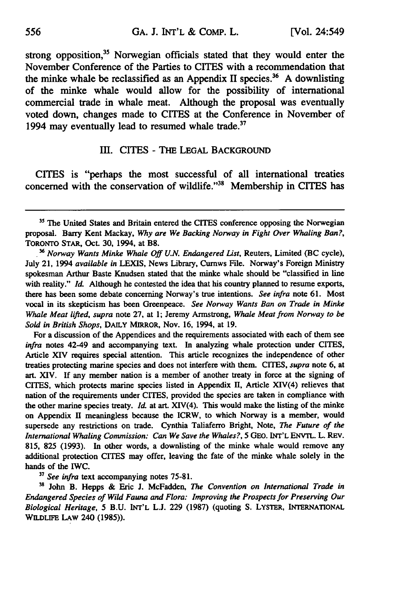strong opposition,<sup>35</sup> Norwegian officials stated that they would enter the November Conference of the Parties to CITES with a recommendation that the minke whale be reclassified as an Appendix II species.<sup>36</sup> A downlisting of the minke whale would allow for the possibility of international commercial trade in whale meat. Although the proposal was eventually voted down, changes made to CITES at the Conference in November of 1994 may eventually lead to resumed whale trade.<sup>37</sup>

#### III. CITES - THE LEGAL BACKGROUND

CITES is "perhaps the most successful of all international treaties concerned with the conservation of wildlife."<sup>38</sup> Membership in CITES has

For a discussion of the Appendices and the requirements associated with each of them see *infra* notes 42-49 and accompanying text. In analyzing whale protection under CITES, Article XIV requires special attention. This article recognizes the independence of other treaties protecting marine species and does not interfere with them. CITES, *supra* note **6,** at art. XIV. **If** any member nation is a member of another treaty in force at the signing of CITES, which protects marine species listed in Appendix **II,** Article XIV(4) relieves that nation of the requirements under CITES, provided the species are taken in compliance with the other marine species treaty. **Id.** at art. XIV(4). This would make the listing of the minke on Appendix II meaningless because the ICRW, to which Norway is a member, would supersede any restrictions on trade. Cynthia Taliaferro Bright, Note, *The Future of the International Whaling Commission: Can We Save the Whales?,* 5 **GEO. INT'L ENVTL.** L. REV. 815, **825** (1993). In other words, a downlisting of the minke whale would remove any additional protection CITES may offer, leaving the fate of the minke whale solely in the hands of the IWC.

**<sup>37</sup>***See infra* text accompanying notes 75-81.

**<sup>31</sup>**John B. Hepps & Eric J. McFadden, *The Convention on International Trade in Endangered Species of Wild Fauna and Flora: Improving the Prospects for Preserving Our Biological Heritage, 5* B.U. INT'L L.J. 229 (1987) (quoting S. LYSTER, INTERNATIONAL WILDLFE LAw 240 (1985)).

<sup>&</sup>lt;sup>35</sup> The United States and Britain entered the CITES conference opposing the Norwegian proposal. Barry Kent Mackay, *Why are We Backing Norway in Fight Over Whaling Ban?,* TORONTO STAR, Oct. 30, 1994, at B8.

*<sup>3</sup>Norway Wants Minke Whale* **Off** *U.N. Endangered List,* Reuters, Limited (BC cycle), July 21, 1994 *available in* LEXIS, News Library, Curnws File. Norway's Foreign Ministry spokesman Arthur Baste Knudsen stated that the minke whale should be "classified in line with reality." *Id.* Although he contested the idea that his country planned to resume exports, there has been some debate concerning Norway's true intentions. *See infra* note 61. Most vocal in its skepticism has been Greenpeace. *See Norway Wants Ban on Trade in Minke Whale Meat lifted, supra* note 27, at 1; Jeremy Armstrong, *Whale Meat from Norway to be Sold in British Shops,* DAILY MIRROR, Nov. 16, 1994, at 19.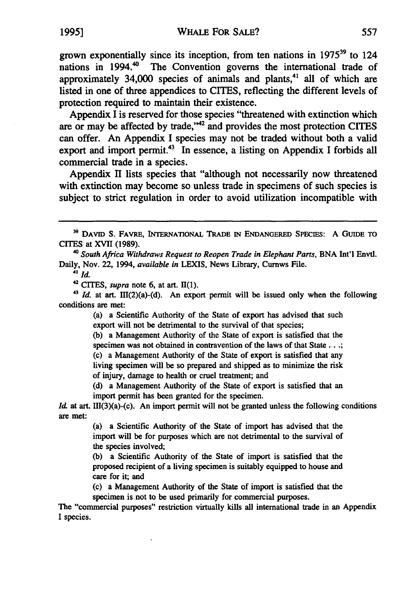grown exponentially since its inception, from ten nations in **197539** to 124 nations in  $1994.^{40}$ The Convention governs the international trade of approximately  $34,000$  species of animals and plants,<sup>41</sup> all of which are listed in one of three appendices to CITES, reflecting the different levels of protection required to maintain their existence.

Appendix I is reserved for those species "threatened with extinction which are or may be affected by trade,<sup>142</sup> and provides the most protection CITES can offer. An Appendix I species may not be traded without both a valid export and import permit.<sup>43</sup> In essence, a listing on Appendix I forbids all commercial trade in a species.

Appendix **II** lists species that "although not necessarily now threatened with extinction may become so unless trade in specimens of such species is subject to strict regulation in order to avoid utilization incompatible with

*<sup>40</sup>South Africa Withdraws Request to Reopen Trade in Elephant Parts,* **BNA** Int'l **Envtl.** Daily, Nov. 22, 1994, *available in* LEXIS, News Library, Curnws File.

*41 id.*

**42 CITES,** *supra* note **6,** at art. **11(1).**

 $43$  *Id.* at art. III(2)(a)-(d). An export permit will be issued only when the following conditions are met:

> (a) a Scientific Authority of the State of export has advised that such export will not be detrimental to the survival of that species;

> (b) a Management Authority of the State of export is satisfied that the specimen was not obtained in contravention of the laws of that State ... **;** (c) a Management Authority of the State of export is satisfied that any living specimen will be so prepared and shipped as to minimize the risk of injury, damage to health or cruel treatment; and

> (d) a Management Authority of the State of export is satisfied that an import permit has been granted for the specimen.

*Id.* at art. III(3)(a)-(c). An import permit will not be granted unless the following conditions are met:

> (a) a Scientific Authority of the State of import has advised that the import will be for purposes which are not detrimental to the survival of the species involved;

> (b) a Scientific Authority of the State of import is satisfied that the proposed recipient of a living specimen is suitably equipped to house and care for it; and

> (c) a Management Authority of the State of import is satisfied that the specimen is not to be used primarily for commercial purposes.

The "commercial purposes" restriction virtually kills all international trade in an Appendix I species.

**<sup>39</sup> DAVID S.** FAVRE, **INTERNATIONAL TRADE IN ENDANGERED SPEcIES:** A **GUIDE TO** CITES at **XVII (1989).**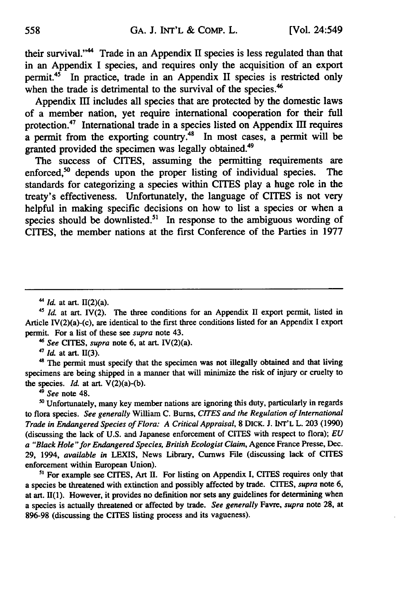their survival."<sup>44</sup> Trade in an Appendix II species is less regulated than that in an Appendix I species, and requires only the acquisition of an export permit.45 In practice, trade in an Appendix II species is restricted only when the trade is detrimental to the survival of the species.<sup>46</sup>

Appendix **III** includes all species that are protected **by** the domestic laws of a member nation, yet require international cooperation for their full protection.<sup>47</sup> International trade in a species listed on Appendix III requires a permit from the exporting country.<sup>48</sup> In most cases, a permit will be granted provided the specimen was legally obtained.<sup>49</sup>

The success of CITES, assuming the permitting requirements are enforced,<sup>50</sup> depends upon the proper listing of individual species. The standards for categorizing a species within CITES play a huge role in the treaty's effectiveness. Unfortunately, the language of CITES is not very helpful in making specific decisions on how to list a species or when a species should be downlisted.<sup>51</sup> In response to the ambiguous wording of CITES, the member nations at the first Conference of the Parties in **1977**

*"See* CITES, *supra* note **6,** at art. IV(2)(a).

**47** *Id.* at art. 11(3).

<sup>48</sup> The permit must specify that the specimen was not illegally obtained and that living specimens are being shipped in a manner that will minimize the risk of injury or cruelty to the species. *Id.* at art. V(2)(a)-(b).

*"See* note 48.

5 Unfortunately, many key member nations are ignoring this duty, particularly in regards to flora species. *See generally* William C. Bums, *CITES and the Regulation of International Trade in Endangered Species of Flora: A Critical Appraisal,* **8** DICK. **J. INT'L** L. 203 (1990) (discussing the lack of U.S. and Japanese enforcement of CITES with respect to flora); *EU a "Black Hole "for Endangered Species, British Ecologist Claim,* Agence France Presse, Dec. 29, 1994, *available in* LEXIS, News Library, Curnws File (discussing lack of CITES enforcement within European Union).

**<sup>51</sup>**For example see CITES, Art **H.** For listing on Appendix **I,** CITES requires only that a species be threatened with extinction and possibly affected **by** trade. CITES, *supra* note **6,** at art. **11(1).** However, it provides no definition nor sets any guidelines for determining when a species is actually threatened or affected **by** trade. *See generally* **Favre,** *supra* note **28,** at **896-98** (discussing the CITES listing process and its vagueness).

**<sup>44</sup>** *Id.* at art. 11(2)(a).

<sup>&</sup>lt;sup>45</sup> Id. at art. IV(2). The three conditions for an Appendix II export permit, listed in Article IV(2)(a)-(c), are identical to the first three conditions listed for an Appendix I export permit. For a list of these see *supra* note 43.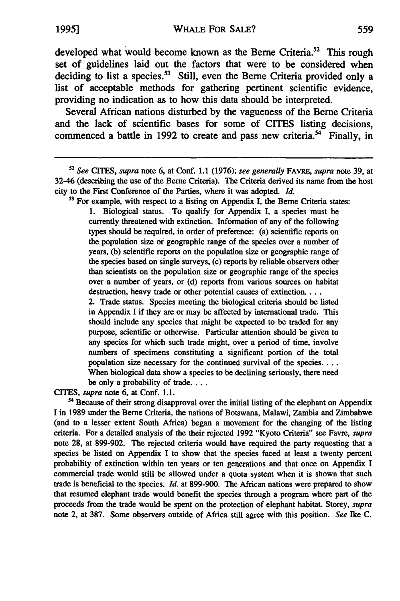developed what would become known as the Berne Criteria.<sup>52</sup> This rough set of guidelines laid out the factors that were to be considered when deciding to list a species.<sup>53</sup> Still, even the Berne Criteria provided only a list of acceptable methods for gathering pertinent scientific evidence, providing no indication as to how this data should be interpreted.

Several African nations disturbed **by** the vagueness of the Berne Criteria and the lack of scientific bases for some of CITES listing decisions, commenced a battle in 1992 to create and pass new criteria.<sup>54</sup> Finally, in

**5'** For example, with respect to a listing on Appendix **I,** the Berne Criteria states: **1.** Biological status. To qualify for Appendix **I,** a species must be currently threatened with extinction. Information of any of the following types should be required, in order of preference: (a) scientific reports on the population size or geographic range of the species over a number of years, **(b)** scientific reports on the population size or geographic range of the species based on single surveys, (c) reports **by** reliable observers other than scientists on the population size or geographic range of the species over a number of years, or (d) reports from various sources on habitat destruction, heavy trade or other potential causes of extinction... 2. Trade status. Species meeting the biological criteria should be listed in Appendix **I** if they are or may be affected **by** international trade. This should include any species that might be expected to be traded for any purpose, scientific or otherwise. Particular attention should be given to any species for which such trade might, over a period of time, involve numbers of specimens constituting a significant portion of the total population size necessary for the continued survival of the species.... When biological data show a species to be declining seriously, there need be only a probability of trade....

CITES, *supra* note **6,** at Conf. **1.1.**

<sup>54</sup> Because of their strong disapproval over the initial listing of the elephant on Appendix **I** in **1989** under the Berne Criteria, the nations of Botswana, Malawi, Zambia and Zimbabwe (and to a lesser extent South Africa) began a movement for the changing of the listing criteria. For a detailed analysis of the their rejected 1992 "Kyoto Criteria" see Favre, *supra* note **28,** at 899-902. The rejected criteria would have required the party requesting that a species be listed on Appendix I to show that the species faced at least a twenty percent probability of extinction within ten years or ten generations and that once on Appendix I commercial trade would still be allowed under a quota system when it is shown that such trade is beneficial to the species. *Id.* at 899-900. The African nations were prepared to show that resumed elephant trade would benefit the species through a program where part of the proceeds from the trade would be spent on the protection of elephant habitat. Storey, *supra* note 2, at **387.** Some observers outside of Africa still agree with this position. *See* Ike **C.**

*<sup>52</sup>See CITES, supra* note **6,** at Conf. **1.1** (1976); *see generally* FAVRE, *supra* note **39,** at 32-46 (describing the use of the Berne Criteria). The Criteria derived its name from the host city to the First Conference of the Parties, where it was adopted. *Id.*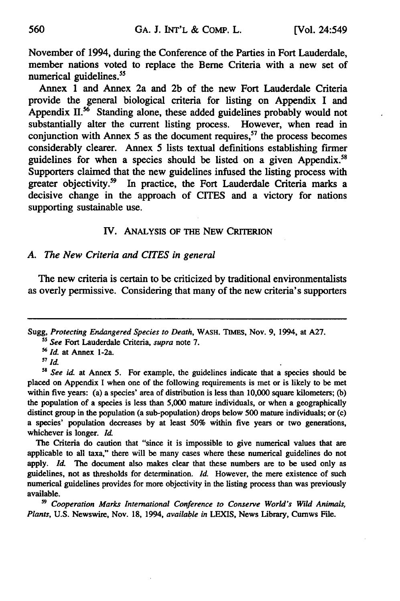November of 1994, during the Conference of the Parties in Fort Lauderdale, member nations voted to replace the Berne Criteria with a new set of numerical guidelines.<sup>55</sup>

Annex 1 and Annex 2a and 2b of the new Fort Lauderdale Criteria provide the general biological criteria for listing on Appendix I and Appendix **11.56** Standing alone, these added guidelines probably would not substantially alter the current listing process. However, when read in conjunction with Annex 5 as the document requires, $57$  the process becomes considerably clearer. Annex 5 lists textual definitions establishing firmer guidelines for when a species should be listed on a given Appendix.<sup>5</sup> Supporters claimed that the new guidelines infused the listing process with greater objectivity.<sup>59</sup> In practice, the Fort Lauderdale Criteria marks a decisive change in the approach of CITES and a victory for nations supporting sustainable use.

## IV. ANALYSIS OF THE NEW CRITERION

#### *A. The New Criteria and CITES in general*

The new criteria is certain to be criticized by traditional environmentalists as overly permissive. Considering that many of the new criteria's supporters

The Criteria do caution that "since it is impossible to give numerical values that are applicable to all taxa," there will be many cases where these numerical guidelines do not apply. *Id.* The document also makes clear that these numbers are to be used only as guidelines, not as thresholds for determination. *Id.* However, the mere existence of such numerical guidelines provides for more objectivity in the listing process than was previously available.

*<sup>59</sup>Cooperation Marks International Conference to Conserve World's Wild Animals, Plants,* U.S. Newswire, Nov. 18, 1994, *available in* LEXIS, News Library, Cumws File.

Sugg, *Protecting Endangered Species to Death,* WASH. **TIMES,** Nov. 9, 1994, at A27.

*<sup>5</sup> See* Fort Lauderdale Criteria, *supra* note 7.

<sup>&</sup>lt;sup>56</sup> *Id.* at Annex 1-2a.

 $57$  *Id.* 

<sup>&</sup>lt;sup>58</sup> See id. at Annex 5. For example, the guidelines indicate that a species should be placed on Appendix I when one of the following requirements is met or is likely to be met within five years: (a) a species' area of distribution is less than 10,000 square kilometers; (b) the population of a species is less than 5,000 mature individuals, or when a geographically distinct group in the population (a sub-population) drops below 500 mature individuals; or (c) a species' population decreases by at least 50% within five years or two generations, whichever is longer. *Id.*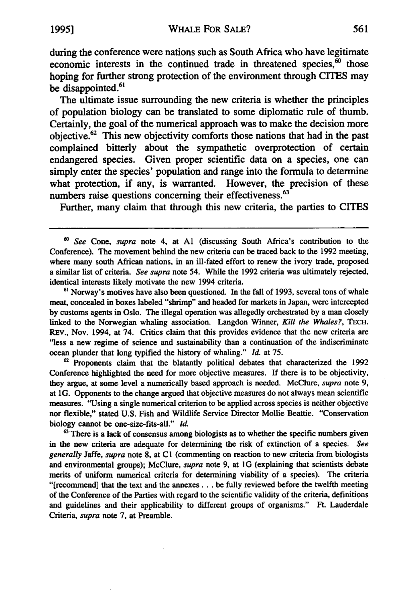during the conference were nations such as South Africa who have legitimate economic interests in the continued trade in threatened species, $\overline{60}$  those hoping for further strong protection of the environment through CITES may be disappointed.<sup>61</sup>

The ultimate issue surrounding the new criteria is whether the principles of population biology can be translated to some diplomatic rule of thumb. Certainly, the goal of the numerical approach was to make the decision more objective.62 This new objectivity comforts those nations that had in the past complained bitterly about the sympathetic overprotection of certain endangered species. Given proper scientific data on a species, one can simply enter the species' population and range into the formula to determine what protection, if any, is warranted. However, the precision of these numbers raise questions concerning their effectiveness.<sup>63</sup>

Further, many claim that through this new criteria, the parties to CITES

**<sup>61</sup>**Norway's motives have also been questioned. In the fall of **1993,** several tons of whale meat, concealed in boxes labeled "shrimp" and headed for markets in Japan, were intercepted **by** customs agents in Oslo. The illegal operation was allegedly orchestrated **by** a man closely linked to the Norwegian whaling association. Langdon Winner, *Kill the Whales?,* **TECH.** REV., Nov. 1994, at 74. Critics claim that this provides evidence that the new criteria are "less a new regime of science and sustainability than a continuation of the indiscriminate ocean plunder that long typified the history of whaling." *Id* at **75.**

**62** Proponents claim that the blatantly political debates that characterized the 1992 Conference highlighted the need for more objective measures. If there is to be objectivity, they argue, at some level a numerically based approach is needed. McClure, *supra* note **9,** at **1G.** Opponents to the change argued that objective measures do not always mean scientific measures. "Using a single numerical criterion to be applied across species is neither objective nor flexible," stated **U.S.** Fish and Wildlife Service Director Mollie Beattie. "Conservation biology cannot be one-size-fits-all." *Id.*

<sup>63</sup> There is a lack of consensus among biologists as to whether the specific numbers given in the new criteria are adequate for determining the risk of extinction of a species. *See generally* Jaffe, *supra* note **8,** at **C1** (commenting on reaction to new criteria from biologists and environmental groups); McClure, *supra* note **9,** at **IG** (explaining that scientists debate merits of uniform numerical criteria for determining viability of a species). The criteria "[recommend] that the text and the annexes.., be fully reviewed before the twelfth meeting of the Conference of the Parties with regard to the scientific validity of the criteria, definitions and guidelines and their applicability to different groups of organisms." Ft. Lauderdale Criteria, *supra* note **7,** at Preamble.

*<sup>60</sup>See* Cone, *supra* note 4, at **Al** (discussing South Africa's contribution to the Conference). The movement behind the new criteria can be traced back to the 1992 meeting, where many south African nations, in an ill-fated effort to renew the ivory trade, proposed a similar list of criteria. *See supra* note 54. While the **1992** criteria was ultimately rejected, identical interests likely motivate the new 1994 criteria.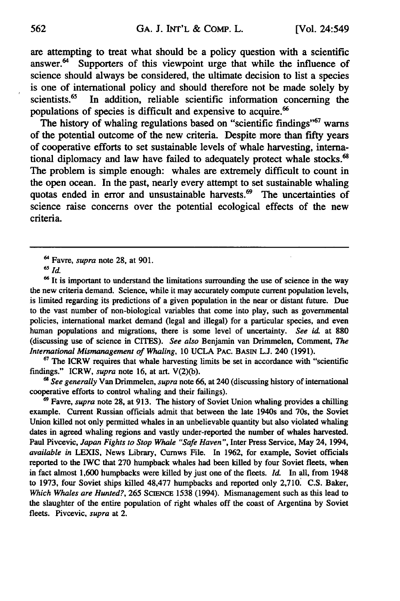are attempting to treat what should be a policy question with a scientific answer.<sup>64</sup> Supporters of this viewpoint urge that while the influence of Supporters of this viewpoint urge that while the influence of science should always be considered, the ultimate decision to list a species is one of international policy and should therefore not be made solely by scientists.<sup>65</sup> In addition, reliable scientific information concerning the In addition, reliable scientific information concerning the populations of species is difficult and expensive to acquire.<sup>66</sup>

The history of whaling regulations based on "scientific findings"<sup>67</sup> warns of the potential outcome of the new criteria. Despite more than fifty years of cooperative efforts to set sustainable levels of whale harvesting, international diplomacy and law have failed to adequately protect whale stocks.<sup>68</sup> The problem is simple enough: whales are extremely difficult to count in the open ocean. In the past, nearly every attempt to set sustainable whaling quotas ended in error and unsustainable harvests.<sup>69</sup> The uncertainties of science raise concerns over the potential ecological effects of the new criteria.

<sup>66</sup> It is important to understand the limitations surrounding the use of science in the way the new criteria demand. Science, while it may accurately compute current population levels, is limited regarding its predictions of a given population in the near or distant future. Due to the vast number of non-biological variables that come into play, such as governmental policies, international market demand (legal and illegal) for a particular species, and even human populations and migrations, there is some level of uncertainty. *See id.* at **880** (discussing use of science in CITES). *See also* Benjamin van Drimmelen, Comment, *The International Mismanagement of Whaling, 10* **UCLA** PAC. **BASIN L.J.** 240 **(1991).**

**<sup>67</sup>The** ICRW requires that whale harvesting limits be set in accordance with "scientific findings." ICRW, *supra* note **16,** at art. **V(2)(b).**

*6" See generally* Van Drimmelen, *supra* note **66,** at 240 (discussing history of international cooperative efforts to control whaling and their failings).

69Favre, *supra* note **28,** at **913. The** history of Soviet Union whaling provides a chilling example. Current Russian officials admit that between the late 1940s and 70s, the Soviet Union killed not only permitted whales in an unbelievable quantity but also violated whaling dates in agreed whaling regions and vastly under-reported the number of whales harvested. Paul Pivcevic, *Japan Fights to Stop Whale "Safe Haven",* Inter Press Service, May 24, 1994, *available in* **LEXIS,** News Library, Cumws File. In **1962,** for example, Soviet officials reported to the IWC that **270** humpback whales had been killed **by** four Soviet fleets, when in fact almost **1,600** humpbacks were killed **by** just one of the fleets. *Id.* In all, from 1948 to **1973,** four Soviet ships killed 48,477 humpbacks and reported only **2,710 C.S.** Baker, *Which Whales are Hunted?,* **265 SciENCE 1538** (1994). Mismanagement such as this lead to the slaughter of the entire population of right whales off the coast of Argentina **by** Soviet fleets. Pivcevic, *supra* at 2.

<sup>&</sup>lt;sup>64</sup> Favre, *supra* note 28, at 901.

*<sup>6</sup>Id.*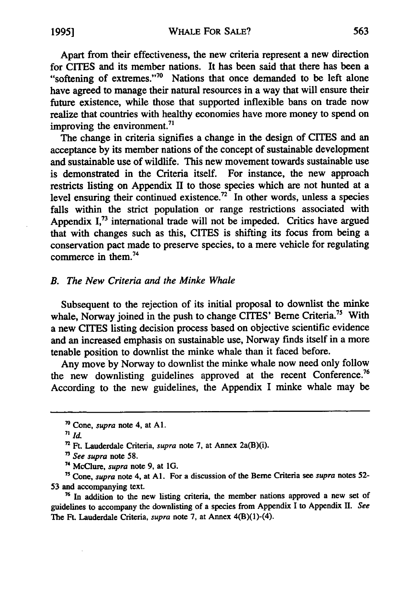Apart from their effectiveness, the new criteria represent a new direction for CITES and its member nations. It has been said that there has been a "softening of extremes."<sup>70</sup> Nations that once demanded to be left alone have agreed to manage their natural resources in a way that will ensure their future existence, while those that supported inflexible bans on trade now realize that countries with healthy economies have more money to spend on improving the environment.<sup>7</sup>

The change in criteria signifies a change in the design of CITES and an acceptance by its member nations of the concept of sustainable development and sustainable use of wildlife. This new movement towards sustainable use is demonstrated in the Criteria itself. For instance, the new approach restricts listing on Appendix **II** to those species which are not hunted at a level ensuring their continued existence.<sup>72</sup> In other words, unless a species falls within the strict population or range restrictions associated with Appendix I,<sup>73</sup> international trade will not be impeded. Critics have argued that with changes such as this, CITES is shifting its focus from being a conservation pact made to preserve species, to a mere vehicle for regulating commerce in them.74

#### *B. The New Criteria and the Minke Whale*

Subsequent to the rejection of its initial proposal to downlist the minke whale, Norway joined in the push to change CITES' Berne Criteria.<sup>75</sup> With a new CITES listing decision process based on objective scientific evidence and an increased emphasis on sustainable use, Norway finds itself in a more tenable position to downlist the minke whale than it faced before.

Any move by Norway to downlist the minke whale now need only follow the new downlisting guidelines approved at the recent Conference.<sup>76</sup> According to the new guidelines, the Appendix I minke whale may be

**<sup>70</sup>** Cone, *supra* note 4, at Al.

**<sup>71</sup>** *Id.*

**<sup>7</sup>**Ft. Lauderdale Criteria, supra note **7,** at Annex 2a(B)(i).

<sup>3</sup> *See supra* note **58.**

**<sup>7&#</sup>x27;** McClure, *supra* note **9,** at **1G.**

**<sup>7</sup>S** Cone, *supra* note 4, at **Al.** For a discussion of the Beme Criteria see supra notes **52-** 53 and accompanying text.

**<sup>76</sup>In** addition to the new listing criteria, the member nations approved a new set of guidelines to accompany the downlisting of a species from Appendix I to Appendix **1.** *See* The Ft. Lauderdale Criteria, *supra* note **7,** at Annex 4(B)(1)-(4).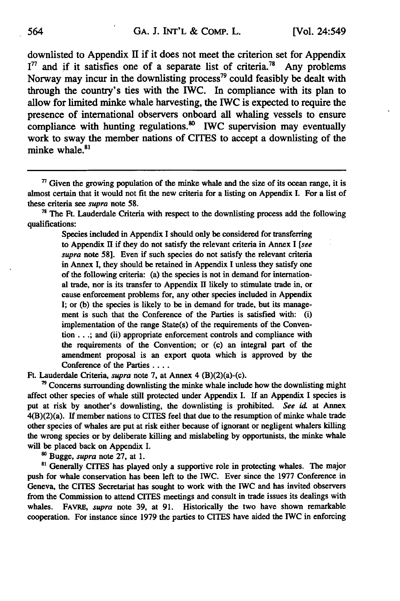downlisted to Appendix **II** if it does not meet the criterion set for Appendix  $I<sup>77</sup>$  and if it satisfies one of a separate list of criteria.<sup>78</sup> Any problems Norway may incur in the downlisting process<sup>79</sup> could feasibly be dealt with through the country's ties with the IWC. In compliance with its plan to allow for limited minke whale harvesting, the 1WC is expected to require the presence of international observers onboard all whaling vessels to ensure compliance with hunting regulations.<sup>80</sup> IWC supervision may eventually work to sway the member nations of CITES to accept a downlisting of the minke whale.<sup>81</sup>

<sup>78</sup> The Ft. Lauderdale Criteria with respect to the downlisting process add the following qualifications:

> Species included in Appendix **I** should only be considered for transferring to Appendix **11** if they do not satisfy the relevant criteria in Annex **I** *[see supra* note **58].** Even if such species do not satisfy the relevant criteria in Annex I, they should be retained in Appendix I unless they satisfy one of the following criteria: (a) the species is not in demand for international trade, nor is its transfer to Appendix **H** likely to stimulate trade in, or cause enforcement problems for, any other species included in Appendix I; or (b) the species is likely to be in demand for trade, but its management is such that the Conference of the Parties is satisfied with: (i) implementation of the range State(s) of the requirements of the Convention.. **.;** and (ii) appropriate enforcement controls and compliance with the requirements of the Convention; or (c) an integral part of the amendment proposal is an export quota which is approved **by** the Conference of the Parties ....

Ft. Lauderdale Criteria, *supra* note **7,** at Annex 4 (B)(2)(a)-(c).

<sup>79</sup> Concerns surrounding downlisting the minke whale include how the downlisting might affect other species of whale still protected under Appendix I. **If** an Appendix I species is put at risk **by** another's downlisting, the downlisting is prohibited. *See id* at Annex 4(B)(2)(a). If member nations to CITES feel that due to the resumption of minke whale trade other species of whales are put at risk either because of ignorant or negligent whalers killing the wrong species or **by** deliberate killing and mislabeling **by** opportunists, the minke whale will be placed back on Appendix **I.**

**o** Bugge, *supra* note **27,** at **1.**

<sup>81</sup> Generally CITES has played only a supportive role in protecting whales. The major push for whale conservation has been left to the IWC. Ever since the **1977** Conference in Geneva, the CITES Secretariat has sought to work with the **IWC** and has invited observers from the Commission to attend CITES meetings and consult in trade issues its dealings with whales. FAVRE, *supra* note **39,** at **91.** Historically the two have shown remarkable cooperation. For instance since **1979** the parties to CITES have aided the IWC in enforcing

 $\eta$  Given the growing population of the minke whale and the size of its ocean range, it is almost certain that it would not fit the new criteria for a listing on Appendix **I.** For a list of these criteria see *supra* note **58.**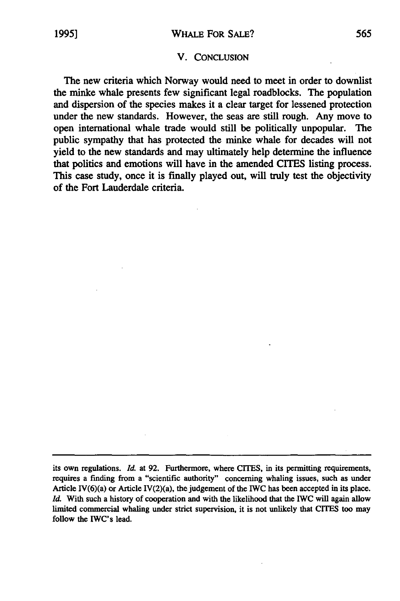#### V. **CONCLUSION**

The new criteria which Norway would need to meet in order to downlist the minke whale presents few significant legal roadblocks. The population and dispersion of the species makes it a clear target for lessened protection under the new standards. However, the seas are still rough. Any move to open international whale trade would still be politically unpopular. The public sympathy that has protected the minke whale for decades will not yield to the new standards and may ultimately help determine the influence that politics and emotions will have in the amended CITES listing process. This case study, once it is finally played out, will truly test the objectivity of the Fort Lauderdale criteria.

its own regulations. *Id.* at **92.** Furthermore, where CITES, in its permitting requirements, requires a finding from a "scientific authority" concerning whaling issues, such as under Article IV( $6$ )(a) or Article IV( $2$ )(a), the judgement of the IWC has been accepted in its place. *Id.* With such a history of cooperation and with the likelihood that the IWC will again allow limited commercial whaling under strict supervision, it is not unlikely that CITES too may follow the IWC's lead.